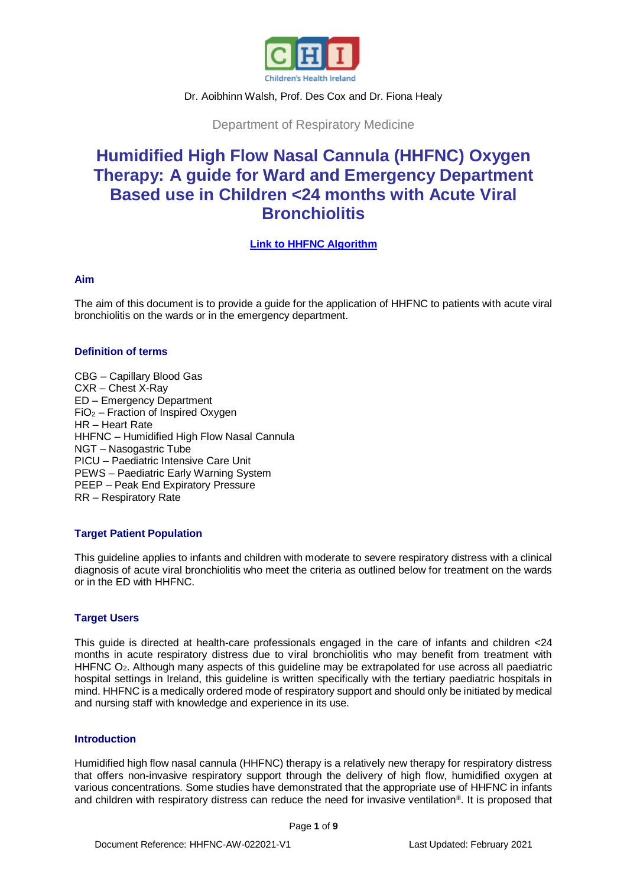

### Dr. Aoibhinn Walsh, Prof. Des Cox and Dr. Fiona Healy

Department of Respiratory Medicine

# **Humidified High Flow Nasal Cannula (HHFNC) Oxygen Therapy: A guide for Ward and Emergency Department Based use in Children <24 months with Acute Viral Bronchiolitis**

**[Link to HHFNC Algorithm](http://www.olchc.ie/!VK4K8A)**

# **Aim**

The aim of this document is to provide a guide for the application of HHFNC to patients with acute viral bronchiolitis on the wards or in the emergency department.

### **Definition of terms**

CBG – Capillary Blood Gas CXR – Chest X-Ray ED – Emergency Department  $FiO<sub>2</sub>$  – Fraction of Inspired Oxygen HR – Heart Rate HHFNC – Humidified High Flow Nasal Cannula NGT – Nasogastric Tube PICU – Paediatric Intensive Care Unit PEWS – Paediatric Early Warning System PEEP – Peak End Expiratory Pressure RR – Respiratory Rate

# **Target Patient Population**

This guideline applies to infants and children with moderate to severe respiratory distress with a clinical diagnosis of acute viral bronchiolitis who meet the criteria as outlined below for treatment on the wards or in the ED with HHFNC.

# **Target Users**

This guide is directed at health-care professionals engaged in the care of infants and children <24 months in acute respiratory distress due to viral bronchiolitis who may benefit from treatment with HHFNC O<sub>2</sub>. Although many aspects of this guideline may be extrapolated for use across all paediatric hospital settings in Ireland, this guideline is written specifically with the tertiary paediatric hospitals in mind. HHFNC is a medically ordered mode of respiratory support and should only be initiated by medical and nursing staff with knowledge and experience in its use.

# **Introduction**

Humidified high flow nasal cannula (HHFNC) therapy is a relatively new therapy for respiratory distress that offers non-invasive respiratory support through the delivery of high flow, humidified oxygen at various concentrations. Some studies have demonstrated that the appropriate use of HHFNC in infants and children with respiratory distress can reduce the need for invasive ventilation<sup>ii</sup>. It is proposed that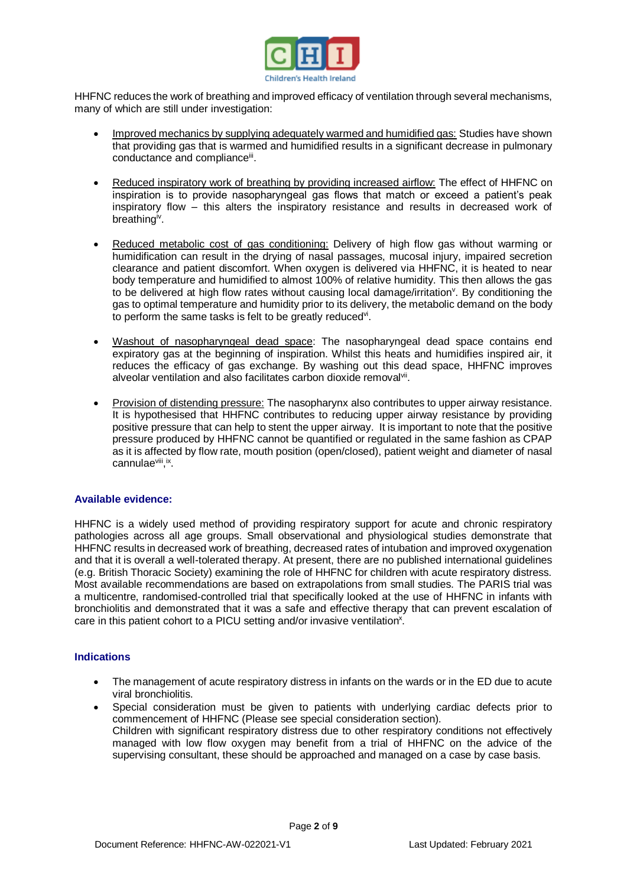

HHFNC reduces the work of breathing and improved efficacy of ventilation through several mechanisms, many of which are still under investigation:

- Improved mechanics by supplying adequately warmed and humidified gas: Studies have shown that providing gas that is warmed and humidified results in a significant decrease in pulmonary conductance and compliance<sup>iii</sup>.
- Reduced inspiratory work of breathing by providing increased airflow: The effect of HHFNC on inspiration is to provide nasopharyngeal gas flows that match or exceed a patient's peak inspiratory flow – this alters the inspiratory resistance and results in decreased work of breathing<sup>iv</sup>.
- Reduced metabolic cost of gas conditioning: Delivery of high flow gas without warming or humidification can result in the drying of nasal passages, mucosal injury, impaired secretion clearance and patient discomfort. When oxygen is delivered via HHFNC, it is heated to near body temperature and humidified to almost 100% of relative humidity. This then allows the gas to be delivered at high flow rates without causing local damage/irritation<sup>y</sup>. By conditioning the gas to optimal temperature and humidity prior to its delivery, the metabolic demand on the body to perform the same tasks is felt to be greatly reduced<sup>vi</sup>.
- Washout of nasopharyngeal dead space: The nasopharyngeal dead space contains end expiratory gas at the beginning of inspiration. Whilst this heats and humidifies inspired air, it reduces the efficacy of gas exchange. By washing out this dead space, HHFNC improves alveolar ventilation and also facilitates carbon dioxide removalvii.
- Provision of distending pressure: The nasopharynx also contributes to upper airway resistance. It is hypothesised that HHFNC contributes to reducing upper airway resistance by providing positive pressure that can help to stent the upper airway. It is important to note that the positive pressure produced by HHFNC cannot be quantified or regulated in the same fashion as CPAP as it is affected by flow rate, mouth position (open/closed), patient weight and diameter of nasal cannulaeviii, ix.

# **Available evidence:**

HHFNC is a widely used method of providing respiratory support for acute and chronic respiratory pathologies across all age groups. Small observational and physiological studies demonstrate that HHFNC results in decreased work of breathing, decreased rates of intubation and improved oxygenation and that it is overall a well-tolerated therapy. At present, there are no published international guidelines (e.g. British Thoracic Society) examining the role of HHFNC for children with acute respiratory distress. Most available recommendations are based on extrapolations from small studies. The PARIS trial was a multicentre, randomised-controlled trial that specifically looked at the use of HHFNC in infants with bronchiolitis and demonstrated that it was a safe and effective therapy that can prevent escalation of care in this patient cohort to a PICU setting and/or invasive ventilation<sup>x</sup>.

# **Indications**

- The management of acute respiratory distress in infants on the wards or in the ED due to acute viral bronchiolitis.
- Special consideration must be given to patients with underlying cardiac defects prior to commencement of HHFNC (Please see special consideration section). Children with significant respiratory distress due to other respiratory conditions not effectively managed with low flow oxygen may benefit from a trial of HHFNC on the advice of the supervising consultant, these should be approached and managed on a case by case basis.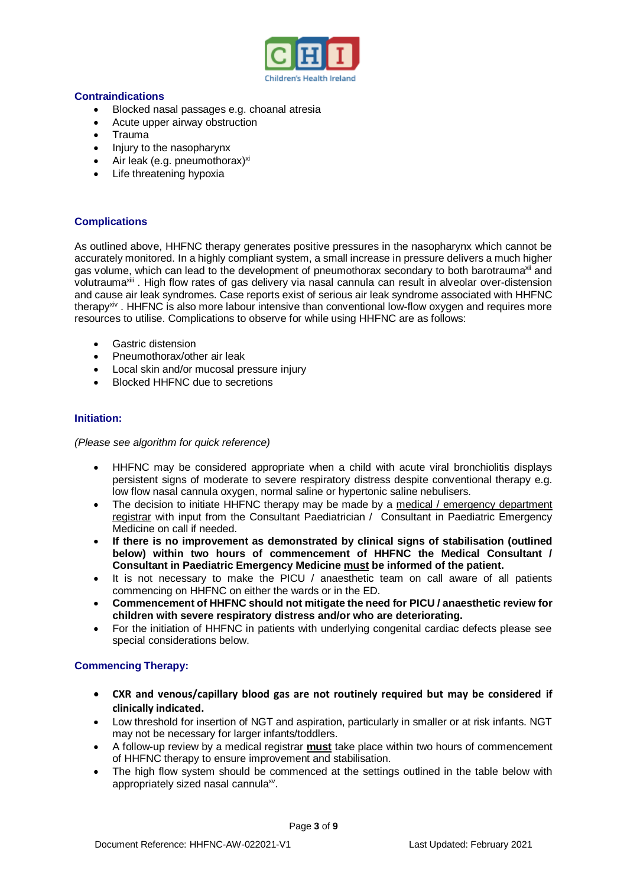

### **Contraindications**

- Blocked nasal passages e.g. choanal atresia
- Acute upper airway obstruction<br>• Trauma
- Trauma
- Injury to the nasopharynx
- $\bullet$  Air leak (e.g. pneumothorax)<sup>xi</sup>
- Life threatening hypoxia

# **Complications**

As outlined above, HHFNC therapy generates positive pressures in the nasopharynx which cannot be accurately monitored. In a highly compliant system, a small increase in pressure delivers a much higher gas volume, which can lead to the development of pneumothorax secondary to both barotrauma<sup>xii</sup> and volutrauma<sup>xiii</sup>. High flow rates of gas delivery via nasal cannula can result in alveolar over-distension and cause air leak syndromes. Case reports exist of serious air leak syndrome associated with HHFNC therapy<sup>xiv</sup>. HHFNC is also more labour intensive than conventional low-flow oxygen and requires more resources to utilise. Complications to observe for while using HHFNC are as follows:

- **•** Gastric distension
- Pneumothorax/other air leak
- Local skin and/or mucosal pressure injury
- Blocked HHFNC due to secretions

# **Initiation:**

*(Please see algorithm for quick reference)*

- HHFNC may be considered appropriate when a child with acute viral bronchiolitis displays persistent signs of moderate to severe respiratory distress despite conventional therapy e.g. low flow nasal cannula oxygen, normal saline or hypertonic saline nebulisers.
- The decision to initiate HHFNC therapy may be made by a medical / emergency department registrar with input from the Consultant Paediatrician / Consultant in Paediatric Emergency Medicine on call if needed.
- **If there is no improvement as demonstrated by clinical signs of stabilisation (outlined below) within two hours of commencement of HHFNC the Medical Consultant / Consultant in Paediatric Emergency Medicine must be informed of the patient.**
- It is not necessary to make the PICU / anaesthetic team on call aware of all patients commencing on HHFNC on either the wards or in the ED.
- **Commencement of HHFNC should not mitigate the need for PICU / anaesthetic review for children with severe respiratory distress and/or who are deteriorating.**
- For the initiation of HHFNC in patients with underlying congenital cardiac defects please see special considerations below.

#### **Commencing Therapy:**

- **CXR and venous/capillary blood gas are not routinely required but may be considered if clinically indicated.**
- Low threshold for insertion of NGT and aspiration, particularly in smaller or at risk infants. NGT may not be necessary for larger infants/toddlers.
- A follow-up review by a medical registrar **must** take place within two hours of commencement of HHFNC therapy to ensure improvement and stabilisation.
- The high flow system should be commenced at the settings outlined in the table below with appropriately sized nasal cannula<sup>xv</sup>.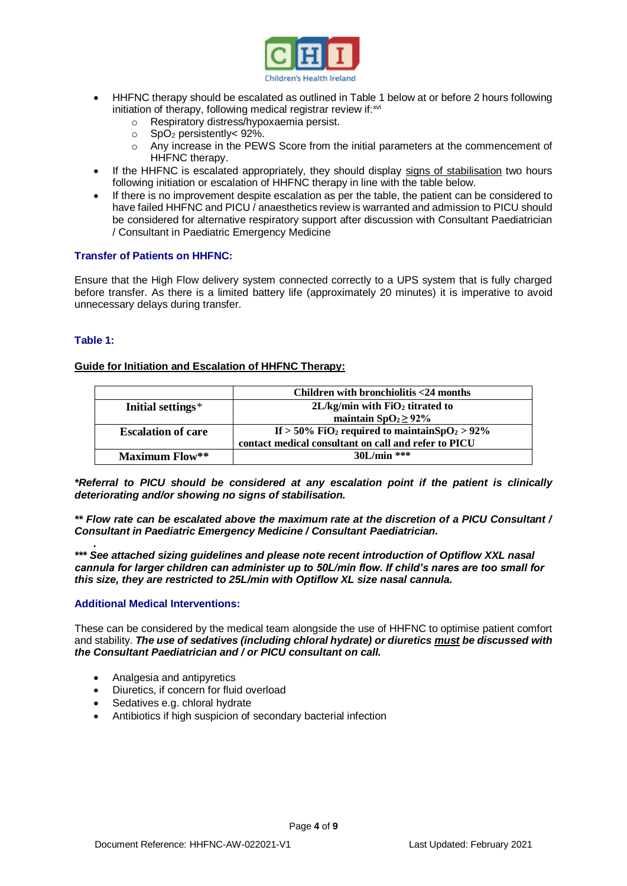

- HHFNC therapy should be escalated as outlined in Table 1 below at or before 2 hours following initiation of therapy, following medical registrar review if: xvi
	- o Respiratory distress/hypoxaemia persist.
	- $\circ$  SpO<sub>2</sub> persistently < 92%.
	- o Any increase in the PEWS Score from the initial parameters at the commencement of HHFNC therapy.
- If the HHFNC is escalated appropriately, they should display signs of stabilisation two hours following initiation or escalation of HHFNC therapy in line with the table below.
- If there is no improvement despite escalation as per the table, the patient can be considered to have failed HHFNC and PICU / anaesthetics review is warranted and admission to PICU should be considered for alternative respiratory support after discussion with Consultant Paediatrician / Consultant in Paediatric Emergency Medicine

### **Transfer of Patients on HHFNC:**

Ensure that the High Flow delivery system connected correctly to a UPS system that is fully charged before transfer. As there is a limited battery life (approximately 20 minutes) it is imperative to avoid unnecessary delays during transfer.

### **Table 1:**

*.*

### **Guide for Initiation and Escalation of HHFNC Therapy:**

|                           | Children with bronchiolitis <24 months                                   |
|---------------------------|--------------------------------------------------------------------------|
| Initial settings*         | $2L/kg/min$ with $FiO2$ titrated to                                      |
|                           | maintain $SpO_2 \geq 92\%$                                               |
| <b>Escalation of care</b> | If $>$ 50% FiO <sub>2</sub> required to maintainSpO <sub>2</sub> $>$ 92% |
|                           | contact medical consultant on call and refer to PICU                     |
| <b>Maximum Flow**</b>     | $30L/min$ ***                                                            |

*\*Referral to PICU should be considered at any escalation point if the patient is clinically deteriorating and/or showing no signs of stabilisation.*

*\*\* Flow rate can be escalated above the maximum rate at the discretion of a PICU Consultant / Consultant in Paediatric Emergency Medicine / Consultant Paediatrician.*

*\*\*\* See attached sizing guidelines and please note recent introduction of Optiflow XXL nasal cannula for larger children can administer up to 50L/min flow. If child's nares are too small for this size, they are restricted to 25L/min with Optiflow XL size nasal cannula.*

#### **Additional Medical Interventions:**

These can be considered by the medical team alongside the use of HHFNC to optimise patient comfort and stability. *The use of sedatives (including chloral hydrate) or diuretics must be discussed with the Consultant Paediatrician and / or PICU consultant on call.*

- Analgesia and antipyretics
- Diuretics, if concern for fluid overload
- Sedatives e.g. chloral hydrate
- Antibiotics if high suspicion of secondary bacterial infection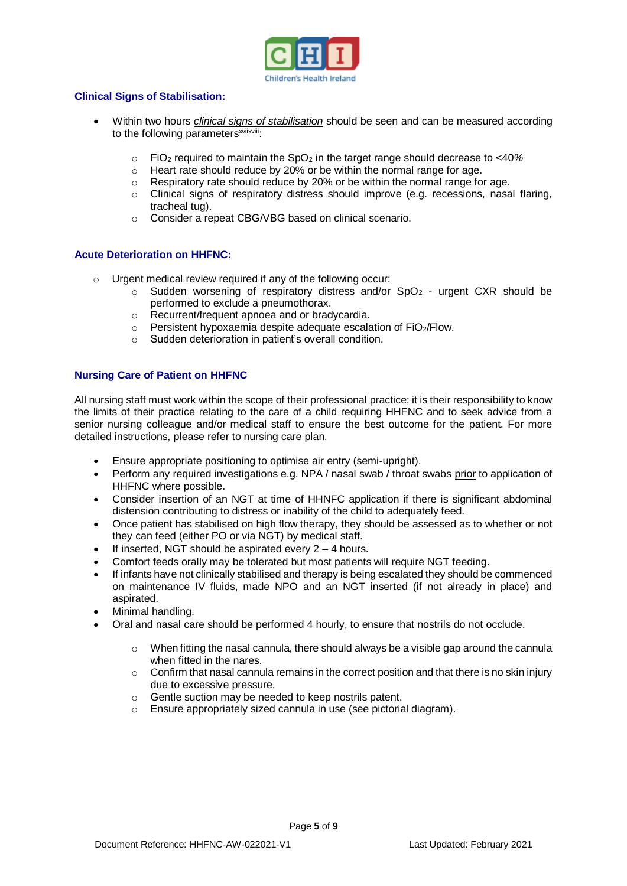

# **Clinical Signs of Stabilisation:**

- Within two hours *clinical signs of stabilisation* should be seen and can be measured according to the following parameters<sup>xviixviii</sup>:
	- o FiO<sup>2</sup> required to maintain the SpO<sup>2</sup> in the target range should decrease to <40*%*
	- o Heart rate should reduce by 20% or be within the normal range for age.
	- o Respiratory rate should reduce by 20% or be within the normal range for age.
	- $\circ$  Clinical signs of respiratory distress should improve (e.g. recessions, nasal flaring, tracheal tug).
	- o Consider a repeat CBG/VBG based on clinical scenario.

#### **Acute Deterioration on HHFNC:**

- o Urgent medical review required if any of the following occur:
	- $\circ$  Sudden worsening of respiratory distress and/or SpO<sub>2</sub> urgent CXR should be performed to exclude a pneumothorax.
	- o Recurrent/frequent apnoea and or bradycardia.
	- $\circ$  Persistent hypoxaemia despite adequate escalation of FiO<sub>2</sub>/Flow.
	- o Sudden deterioration in patient's overall condition.

### **Nursing Care of Patient on HHFNC**

All nursing staff must work within the scope of their professional practice; it is their responsibility to know the limits of their practice relating to the care of a child requiring HHFNC and to seek advice from a senior nursing colleague and/or medical staff to ensure the best outcome for the patient. For more detailed instructions, please refer to nursing care plan.

- Ensure appropriate positioning to optimise air entry (semi-upright).
- Perform any required investigations e.g. NPA / nasal swab / throat swabs prior to application of HHFNC where possible.
- Consider insertion of an NGT at time of HHNFC application if there is significant abdominal distension contributing to distress or inability of the child to adequately feed.
- Once patient has stabilised on high flow therapy, they should be assessed as to whether or not they can feed (either PO or via NGT) by medical staff.
- If inserted, NGT should be aspirated every  $2 4$  hours.
- Comfort feeds orally may be tolerated but most patients will require NGT feeding.
- If infants have not clinically stabilised and therapy is being escalated they should be commenced on maintenance IV fluids, made NPO and an NGT inserted (if not already in place) and aspirated.
- Minimal handling.
- Oral and nasal care should be performed 4 hourly, to ensure that nostrils do not occlude.
	- $\circ$  When fitting the nasal cannula, there should always be a visible gap around the cannula when fitted in the nares.
	- o Confirm that nasal cannula remains in the correct position and that there is no skin injury due to excessive pressure.
	- o Gentle suction may be needed to keep nostrils patent.
	- o Ensure appropriately sized cannula in use (see pictorial diagram).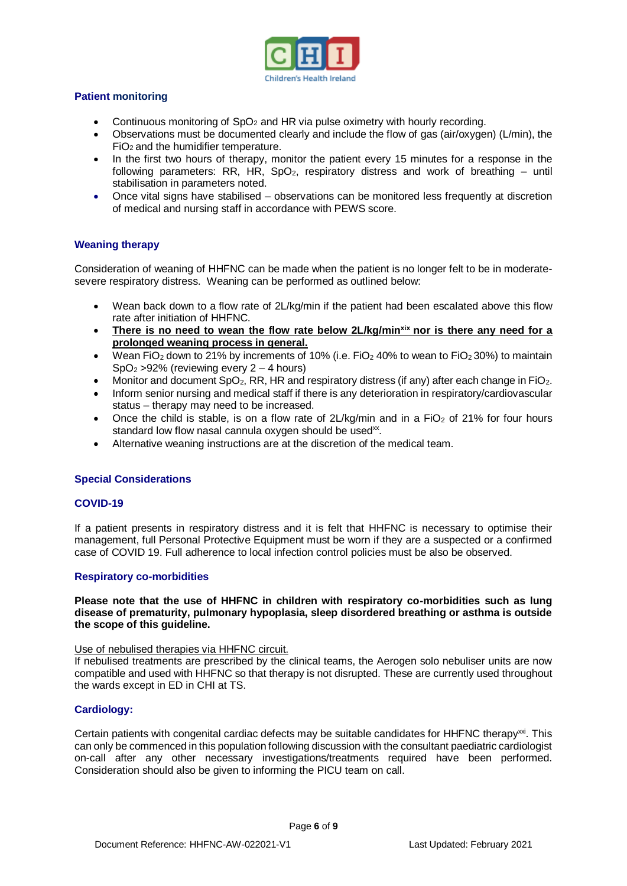

# **Patient monitoring**

- Continuous monitoring of  $SpO<sub>2</sub>$  and HR via pulse oximetry with hourly recording.
- Observations must be documented clearly and include the flow of gas (air/oxygen) (L/min), the FiO2 and the humidifier temperature.
- In the first two hours of therapy, monitor the patient every 15 minutes for a response in the following parameters: RR, HR, SpO<sub>2</sub>, respiratory distress and work of breathing  $-$  until stabilisation in parameters noted.
- Once vital signs have stabilised observations can be monitored less frequently at discretion of medical and nursing staff in accordance with PEWS score.

# **Weaning therapy**

Consideration of weaning of HHFNC can be made when the patient is no longer felt to be in moderatesevere respiratory distress. Weaning can be performed as outlined below:

- Wean back down to a flow rate of 2L/kg/min if the patient had been escalated above this flow rate after initiation of HHFNC.
- **There is no need to wean the flow rate below 2L/kg/minxix nor is there any need for a prolonged weaning process in general.**
- Wean FiO<sub>2</sub> down to 21% by increments of 10% (i.e. FiO<sub>2</sub> 40% to wean to FiO<sub>2</sub> 30%) to maintain  $SpO<sub>2</sub> > 92%$  (reviewing every 2 – 4 hours)
- Monitor and document  $SpO<sub>2</sub>$ , RR, HR and respiratory distress (if any) after each change in FiO<sub>2</sub>.
- Inform senior nursing and medical staff if there is any deterioration in respiratory/cardiovascular status – therapy may need to be increased.
- Once the child is stable, is on a flow rate of  $2L/kg/min$  and in a FiO<sub>2</sub> of 21% for four hours standard low flow nasal cannula oxygen should be used<sup>xx</sup>.
- Alternative weaning instructions are at the discretion of the medical team.

# **Special Considerations**

#### **COVID-19**

If a patient presents in respiratory distress and it is felt that HHFNC is necessary to optimise their management, full Personal Protective Equipment must be worn if they are a suspected or a confirmed case of COVID 19. Full adherence to local infection control policies must be also be observed.

#### **Respiratory co-morbidities**

#### **Please note that the use of HHFNC in children with respiratory co-morbidities such as lung disease of prematurity, pulmonary hypoplasia, sleep disordered breathing or asthma is outside the scope of this guideline.**

#### Use of nebulised therapies via HHFNC circuit.

If nebulised treatments are prescribed by the clinical teams, the Aerogen solo nebuliser units are now compatible and used with HHFNC so that therapy is not disrupted. These are currently used throughout the wards except in ED in CHI at TS.

# **Cardiology:**

Certain patients with congenital cardiac defects may be suitable candidates for HHFNC therapy<sup>xxi</sup>. This can only be commenced in this population following discussion with the consultant paediatric cardiologist on-call after any other necessary investigations/treatments required have been performed. Consideration should also be given to informing the PICU team on call.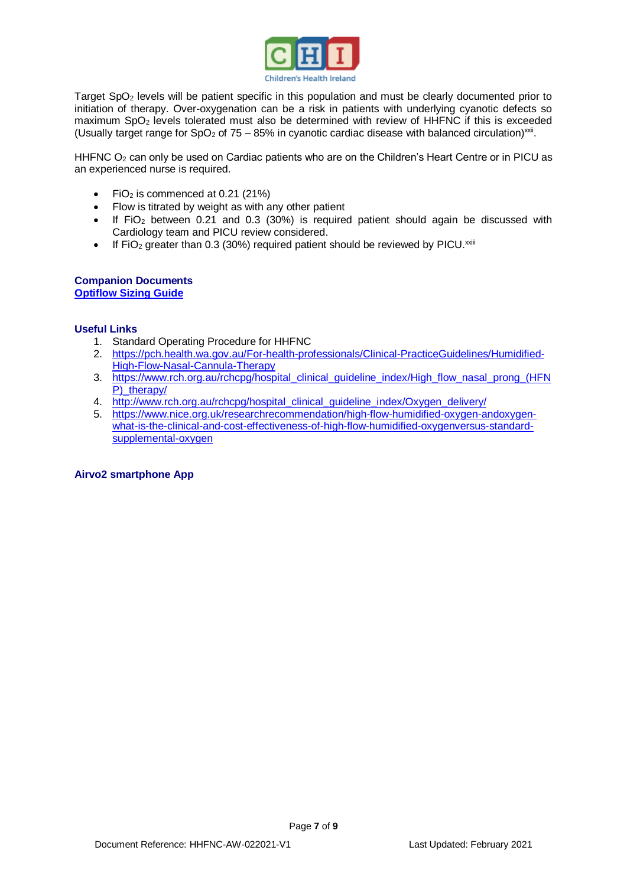

Target SpO<sub>2</sub> levels will be patient specific in this population and must be clearly documented prior to initiation of therapy. Over-oxygenation can be a risk in patients with underlying cyanotic defects so maximum SpO<sup>2</sup> levels tolerated must also be determined with review of HHFNC if this is exceeded (Usually target range for SpO<sub>2</sub> of 75 - 85% in cyanotic cardiac disease with balanced circulation)<sup>xxii</sup>.

HHFNC O<sub>2</sub> can only be used on Cardiac patients who are on the Children's Heart Centre or in PICU as an experienced nurse is required.

- FiO<sub>2</sub> is commenced at 0.21 (21%)
- Flow is titrated by weight as with any other patient
- $\bullet$  If FiO<sub>2</sub> between 0.21 and 0.3 (30%) is required patient should again be discussed with Cardiology team and PICU review considered.
- If FiO<sub>2</sub> greater than 0.3 (30%) required patient should be reviewed by PICU.<sup> $x$ iii</sup>

#### **Companion Documents [Optiflow Sizing Guide](http://www.olchc.ie/!985HKU)**

# **Useful Links**

- 1. Standard Operating Procedure for HHFNC
- 2. [https://pch.health.wa.gov.au/For-health-professionals/Clinical-PracticeGuidelines/Humidified-](https://pch.health.wa.gov.au/For-health-professionals/Clinical-PracticeGuidelines/Humidified-High-Flow-Nasal-Cannula-Therapy)[High-Flow-Nasal-Cannula-Therapy](https://pch.health.wa.gov.au/For-health-professionals/Clinical-PracticeGuidelines/Humidified-High-Flow-Nasal-Cannula-Therapy)
- 3. [https://www.rch.org.au/rchcpg/hospital\\_clinical\\_guideline\\_index/High\\_flow\\_nasal\\_prong\\_\(HFN](https://www.rch.org.au/rchcpg/hospital_clinical_guideline_index/High_flow_nasal_prong_(HFNP)_therapy/) P) therapy/
- 4. [http://www.rch.org.au/rchcpg/hospital\\_clinical\\_guideline\\_index/Oxygen\\_delivery/](http://www.rch.org.au/rchcpg/hospital_clinical_guideline_index/Oxygen_delivery/)
- 5. [https://www.nice.org.uk/researchrecommendation/high-flow-humidified-oxygen-andoxygen](https://www.nice.org.uk/researchrecommendation/high-flow-humidified-oxygen-andoxygen-what-is-the-clinical-and-cost-effectiveness-of-high-flow-humidified-oxygenversus-standard-supplemental-oxygen)[what-is-the-clinical-and-cost-effectiveness-of-high-flow-humidified-oxygenversus-standard](https://www.nice.org.uk/researchrecommendation/high-flow-humidified-oxygen-andoxygen-what-is-the-clinical-and-cost-effectiveness-of-high-flow-humidified-oxygenversus-standard-supplemental-oxygen)[supplemental-oxygen](https://www.nice.org.uk/researchrecommendation/high-flow-humidified-oxygen-andoxygen-what-is-the-clinical-and-cost-effectiveness-of-high-flow-humidified-oxygenversus-standard-supplemental-oxygen)

# **Airvo2 smartphone App**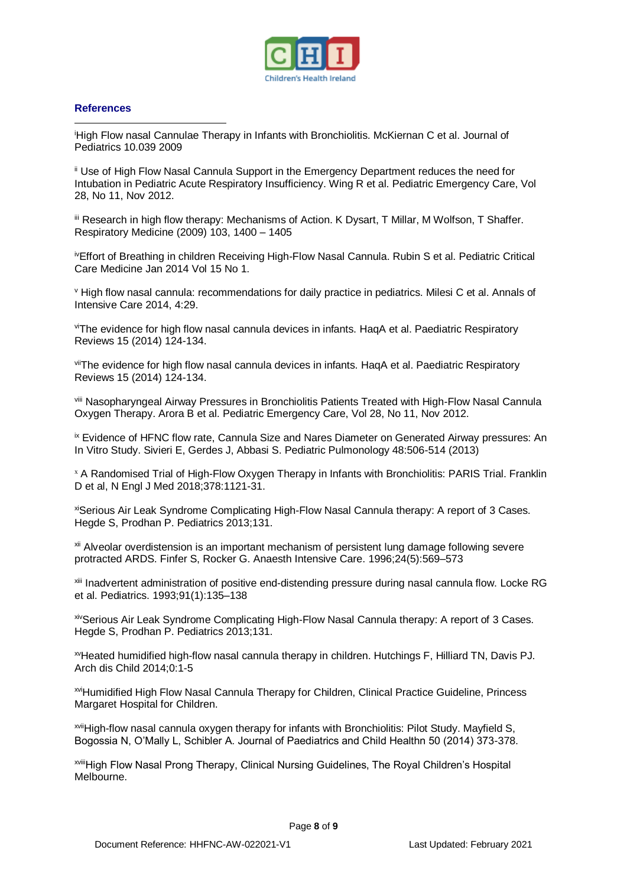

#### **References**

<sup>i</sup>High Flow nasal Cannulae Therapy in Infants with Bronchiolitis. McKiernan C et al. Journal of Pediatrics 10.039 2009 1

ii Use of High Flow Nasal Cannula Support in the Emergency Department reduces the need for Intubation in Pediatric Acute Respiratory Insufficiency. Wing R et al. Pediatric Emergency Care, Vol 28, No 11, Nov 2012.

iii Research in high flow therapy: Mechanisms of Action. K Dysart, T Millar, M Wolfson, T Shaffer. Respiratory Medicine (2009) 103, 1400 – 1405

ivEffort of Breathing in children Receiving High-Flow Nasal Cannula. Rubin S et al. Pediatric Critical Care Medicine Jan 2014 Vol 15 No 1.

<sup>v</sup> High flow nasal cannula: recommendations for daily practice in pediatrics. Milesi C et al. Annals of Intensive Care 2014, 4:29.

viThe evidence for high flow nasal cannula devices in infants. HaqA et al. Paediatric Respiratory Reviews 15 (2014) 124-134.

viiThe evidence for high flow nasal cannula devices in infants. HaqA et al. Paediatric Respiratory Reviews 15 (2014) 124-134.

viii Nasopharyngeal Airway Pressures in Bronchiolitis Patients Treated with High-Flow Nasal Cannula Oxygen Therapy. Arora B et al. Pediatric Emergency Care, Vol 28, No 11, Nov 2012.

ix Evidence of HFNC flow rate, Cannula Size and Nares Diameter on Generated Airway pressures: An In Vitro Study. Sivieri E, Gerdes J, Abbasi S. Pediatric Pulmonology 48:506-514 (2013)

<sup>x</sup> A Randomised Trial of High-Flow Oxygen Therapy in Infants with Bronchiolitis: PARIS Trial. Franklin D et al, N Engl J Med 2018;378:1121-31.

xiSerious Air Leak Syndrome Complicating High-Flow Nasal Cannula therapy: A report of 3 Cases. Hegde S, Prodhan P. Pediatrics 2013;131.

<sup>xii</sup> Alveolar overdistension is an important mechanism of persistent lung damage following severe protracted ARDS. Finfer S, Rocker G. Anaesth Intensive Care. 1996;24(5):569–573

xiii Inadvertent administration of positive end-distending pressure during nasal cannula flow. Locke RG et al. Pediatrics. 1993;91(1):135–138

xivSerious Air Leak Syndrome Complicating High-Flow Nasal Cannula therapy: A report of 3 Cases. Hegde S, Prodhan P. Pediatrics 2013;131.

xvHeated humidified high-flow nasal cannula therapy in children. Hutchings F, Hilliard TN, Davis PJ. Arch dis Child 2014;0:1-5

xviHumidified High Flow Nasal Cannula Therapy for Children, Clinical Practice Guideline, Princess Margaret Hospital for Children.

xviiHigh-flow nasal cannula oxygen therapy for infants with Bronchiolitis: Pilot Study. Mayfield S, Bogossia N, O'Mally L, Schibler A. Journal of Paediatrics and Child Healthn 50 (2014) 373-378.

xviiiHigh Flow Nasal Prong Therapy, Clinical Nursing Guidelines, The Royal Children's Hospital Melbourne.